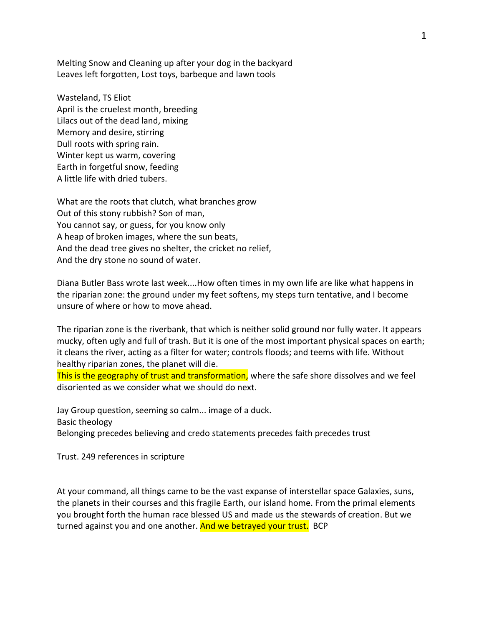Melting Snow and Cleaning up after your dog in the backyard Leaves left forgotten, Lost toys, barbeque and lawn tools

Wasteland, TS Eliot April is the cruelest month, breeding Lilacs out of the dead land, mixing Memory and desire, stirring Dull roots with spring rain. Winter kept us warm, covering Earth in forgetful snow, feeding A little life with dried tubers.

What are the roots that clutch, what branches grow Out of this stony rubbish? Son of man, You cannot say, or guess, for you know only A heap of broken images, where the sun beats, And the dead tree gives no shelter, the cricket no relief, And the dry stone no sound of water.

Diana Butler Bass wrote last week....How often times in my own life are like what happens in the riparian zone: the ground under my feet softens, my steps turn tentative, and I become unsure of where or how to move ahead.

The riparian zone is the riverbank, that which is neither solid ground nor fully water. It appears mucky, often ugly and full of trash. But it is one of the most important physical spaces on earth; it cleans the river, acting as a filter for water; controls floods; and teems with life. Without healthy riparian zones, the planet will die.

This is the geography of trust and transformation, where the safe shore dissolves and we feel disoriented as we consider what we should do next.

Jay Group question, seeming so calm... image of a duck. Basic theology Belonging precedes believing and credo statements precedes faith precedes trust

Trust. 249 references in scripture

At your command, all things came to be the vast expanse of interstellar space Galaxies, suns, the planets in their courses and this fragile Earth, our island home. From the primal elements you brought forth the human race blessed US and made us the stewards of creation. But we turned against you and one another. And we betrayed your trust. BCP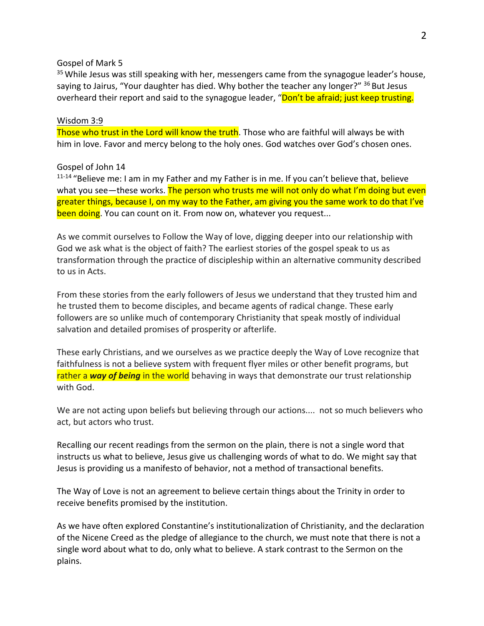## Gospel of Mark 5

<sup>35</sup> While Jesus was still speaking with her, messengers came from the synagogue leader's house, saying to Jairus, "Your daughter has died. Why bother the teacher any longer?" <sup>36</sup> But Jesus overheard their report and said to the synagogue leader, "Don't be afraid; just keep trusting.

## Wisdom 3:9

Those who trust in the Lord will know the truth. Those who are faithful will always be with him in love. Favor and mercy belong to the holy ones. God watches over God's chosen ones.

## Gospel of John 14

<sup>11-14</sup> "Believe me: I am in my Father and my Father is in me. If you can't believe that, believe what you see—these works. The person who trusts me will not only do what I'm doing but even greater things, because I, on my way to the Father, am giving you the same work to do that I've been doing. You can count on it. From now on, whatever you request...

As we commit ourselves to Follow the Way of love, digging deeper into our relationship with God we ask what is the object of faith? The earliest stories of the gospel speak to us as transformation through the practice of discipleship within an alternative community described to us in Acts.

From these stories from the early followers of Jesus we understand that they trusted him and he trusted them to become disciples, and became agents of radical change. These early followers are so unlike much of contemporary Christianity that speak mostly of individual salvation and detailed promises of prosperity or afterlife.

These early Christians, and we ourselves as we practice deeply the Way of Love recognize that faithfulness is not a believe system with frequent flyer miles or other benefit programs, but rather a *way of being* in the world behaving in ways that demonstrate our trust relationship with God.

We are not acting upon beliefs but believing through our actions.... not so much believers who act, but actors who trust.

Recalling our recent readings from the sermon on the plain, there is not a single word that instructs us what to believe, Jesus give us challenging words of what to do. We might say that Jesus is providing us a manifesto of behavior, not a method of transactional benefits.

The Way of Love is not an agreement to believe certain things about the Trinity in order to receive benefits promised by the institution.

As we have often explored Constantine's institutionalization of Christianity, and the declaration of the Nicene Creed as the pledge of allegiance to the church, we must note that there is not a single word about what to do, only what to believe. A stark contrast to the Sermon on the plains.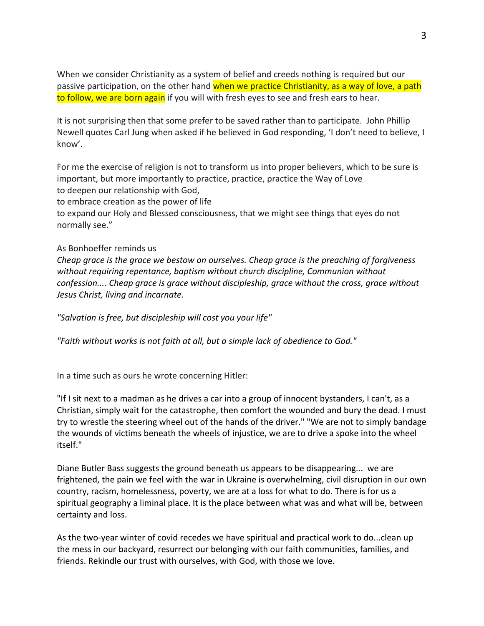When we consider Christianity as a system of belief and creeds nothing is required but our passive participation, on the other hand when we practice Christianity, as a way of love, a path to follow, we are born again if you will with fresh eyes to see and fresh ears to hear.

It is not surprising then that some prefer to be saved rather than to participate. John Phillip Newell quotes Carl Jung when asked if he believed in God responding, 'I don't need to believe, I know'.

For me the exercise of religion is not to transform us into proper believers, which to be sure is important, but more importantly to practice, practice, practice the Way of Love to deepen our relationship with God,

to embrace creation as the power of life

to expand our Holy and Blessed consciousness, that we might see things that eyes do not normally see."

## As Bonhoeffer reminds us

*Cheap grace is the grace we bestow on ourselves. Cheap grace is the preaching of forgiveness without requiring repentance, baptism without church discipline, Communion without confession.... Cheap grace is grace without discipleship, grace without the cross, grace without Jesus Christ, living and incarnate.*

*"Salvation is free, but discipleship will cost you your life"* 

*"Faith without works is not faith at all, but a simple lack of obedience to God."* 

In a time such as ours he wrote concerning Hitler:

"If I sit next to a madman as he drives a car into a group of innocent bystanders, I can't, as a Christian, simply wait for the catastrophe, then comfort the wounded and bury the dead. I must try to wrestle the steering wheel out of the hands of the driver." "We are not to simply bandage the wounds of victims beneath the wheels of injustice, we are to drive a spoke into the wheel itself."

Diane Butler Bass suggests the ground beneath us appears to be disappearing... we are frightened, the pain we feel with the war in Ukraine is overwhelming, civil disruption in our own country, racism, homelessness, poverty, we are at a loss for what to do. There is for us a spiritual geography a liminal place. It is the place between what was and what will be, between certainty and loss.

As the two-year winter of covid recedes we have spiritual and practical work to do...clean up the mess in our backyard, resurrect our belonging with our faith communities, families, and friends. Rekindle our trust with ourselves, with God, with those we love.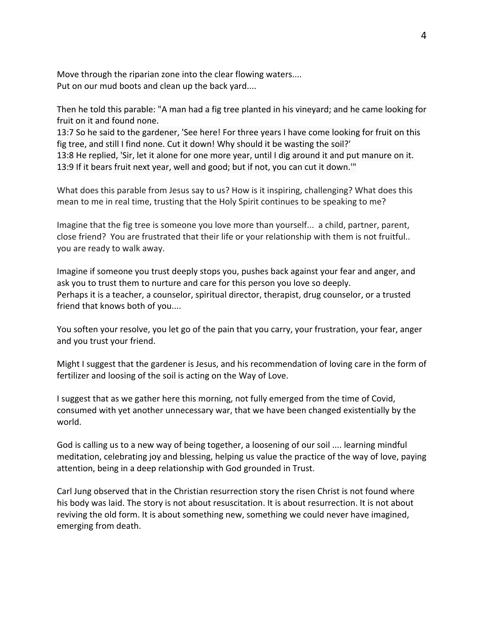Move through the riparian zone into the clear flowing waters.... Put on our mud boots and clean up the back yard....

Then he told this parable: "A man had a fig tree planted in his vineyard; and he came looking for fruit on it and found none.

13:7 So he said to the gardener, 'See here! For three years I have come looking for fruit on this fig tree, and still I find none. Cut it down! Why should it be wasting the soil?' 13:8 He replied, 'Sir, let it alone for one more year, until I dig around it and put manure on it. 13:9 If it bears fruit next year, well and good; but if not, you can cut it down.'"

What does this parable from Jesus say to us? How is it inspiring, challenging? What does this mean to me in real time, trusting that the Holy Spirit continues to be speaking to me?

Imagine that the fig tree is someone you love more than yourself... a child, partner, parent, close friend? You are frustrated that their life or your relationship with them is not fruitful.. you are ready to walk away.

Imagine if someone you trust deeply stops you, pushes back against your fear and anger, and ask you to trust them to nurture and care for this person you love so deeply. Perhaps it is a teacher, a counselor, spiritual director, therapist, drug counselor, or a trusted friend that knows both of you....

You soften your resolve, you let go of the pain that you carry, your frustration, your fear, anger and you trust your friend.

Might I suggest that the gardener is Jesus, and his recommendation of loving care in the form of fertilizer and loosing of the soil is acting on the Way of Love.

I suggest that as we gather here this morning, not fully emerged from the time of Covid, consumed with yet another unnecessary war, that we have been changed existentially by the world.

God is calling us to a new way of being together, a loosening of our soil .... learning mindful meditation, celebrating joy and blessing, helping us value the practice of the way of love, paying attention, being in a deep relationship with God grounded in Trust.

Carl Jung observed that in the Christian resurrection story the risen Christ is not found where his body was laid. The story is not about resuscitation. It is about resurrection. It is not about reviving the old form. It is about something new, something we could never have imagined, emerging from death.